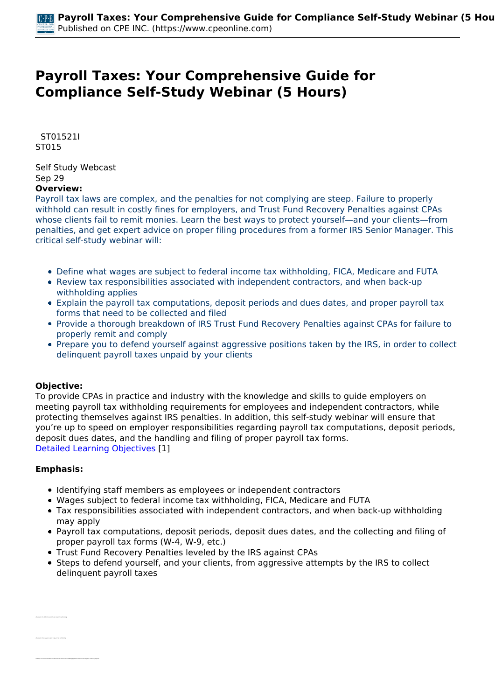## **Payroll Taxes: Your Comprehensive Guide for Compliance Self-Study Webinar (5 Hours)**

 *ST01521I ST015* 

*Self Study Webcast Sep 29*  **Overview:** 

*Payroll tax laws are complex, and the penalties for not complying are steep. Failure to properly withhold can result in costly fines for employers, and Trust Fund Recovery Penalties against CPAs whose clients fail to remit monies. Learn the best ways to protect yourself—and your clients—from penalties, and get expert advice on proper filing procedures from a former IRS Senior Manager. This critical self-study webinar will:*

- *Define what wages are subject to federal income tax withholding, FICA, Medicare and FUTA*
- *Review tax responsibilities associated with independent contractors, and when back-up withholding applies*
- *Explain the payroll tax computations, deposit periods and dues dates, and proper payroll tax forms that need to be collected and filed*
- *Provide a thorough breakdown of IRS Trust Fund Recovery Penalties against CPAs for failure to properly remit and comply*
- *Prepare you to defend yourself against aggressive positions taken by the IRS, in order to collect delinquent payroll taxes unpaid by your clients*

## **Objective:**

*To provide CPAs in practice and industry with the knowledge and skills to guide employers on meeting payroll tax withholding requirements for employees and independent contractors, while protecting themselves against IRS penalties. In addition, this self-study webinar will ensure that you're up to speed on employer responsibilities regarding payroll tax computations, deposit periods, deposit dues dates, and the handling and filing of proper payroll tax forms. [Detailed Learning Objectives](https://www.cpeonline.com/JavaScript:showObjectivesPopup();) [1]*

## **Emphasis:**

*• Recognize the different payroll taxes subject to withholding*

- *Identifying staff members as employees or independent contractors*
- *Wages subject to federal income tax withholding, FICA, Medicare and FUTA*
- *Tax responsibilities associated with independent contractors, and when back-up withholding may apply*
- *Payroll tax computations, deposit periods, deposit dues dates, and the collecting and filing of proper payroll tax forms (W-4, W-9, etc.)*
- *Trust Fund Recovery Penalties leveled by the IRS against CPAs*
- *Steps to defend yourself, and your clients, from aggressive attempts by the IRS to collect delinquent payroll taxes*